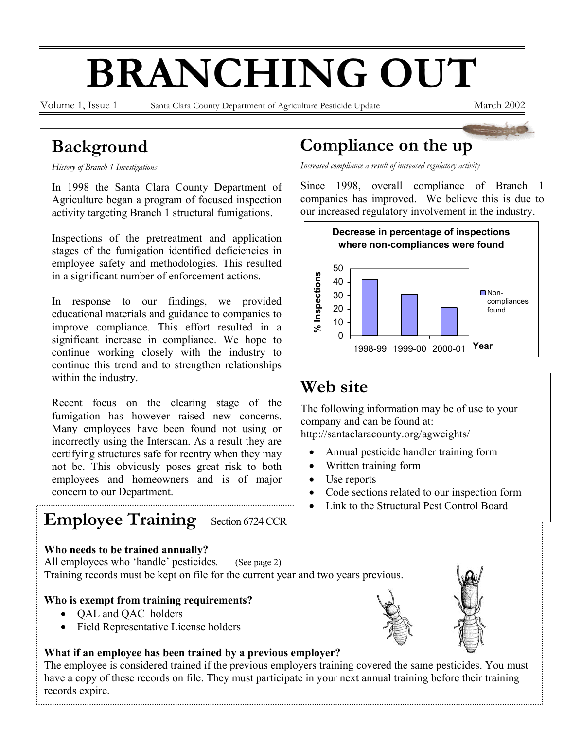# **BRANCHING OUT**

Volume 1, Issue 1 Santa Clara County Department of Agriculture Pesticide Update March 2002

# **Background**

*History of Branch 1 Investigations* 

In 1998 the Santa Clara County Department of Agriculture began a program of focused inspection activity targeting Branch 1 structural fumigations.

Inspections of the pretreatment and application stages of the fumigation identified deficiencies in employee safety and methodologies. This resulted in a significant number of enforcement actions.

In response to our findings, we provided educational materials and guidance to companies to improve compliance. This effort resulted in a significant increase in compliance. We hope to continue working closely with the industry to continue this trend and to strengthen relationships within the industry.

Recent focus on the clearing stage of the fumigation has however raised new concerns. Many employees have been found not using or incorrectly using the Interscan. As a result they are certifying structures safe for reentry when they may not be. This obviously poses great risk to both employees and homeowners and is of major concern to our Department.

# **Employee Training** Section 6724 CCR

#### **Who needs to be trained annually?**

All employees who 'handle' pesticides. (See page 2) Training records must be kept on file for the current year and two years previous.

### **Who is exempt from training requirements?**

- QAL and QAC holders
- Field Representative License holders

#### **What if an employee has been trained by a previous employer?**

The employee is considered trained if the previous employers training covered the same pesticides. You must have a copy of these records on file. They must participate in your next annual training before their training records expire.

## **Compliance on the up**

*Increased compliance a result of increased regulatory activity* 

Since 1998, overall compliance of Branch 1 companies has improved. We believe this is due to our increased regulatory involvement in the industry.



# **Web site**

The following information may be of use to your company and can be found at: http://santaclaracounty.org/agweights/

- Annual pesticide handler training form
- Written training form
- Use reports
- Code sections related to our inspection form
- Link to the Structural Pest Control Board